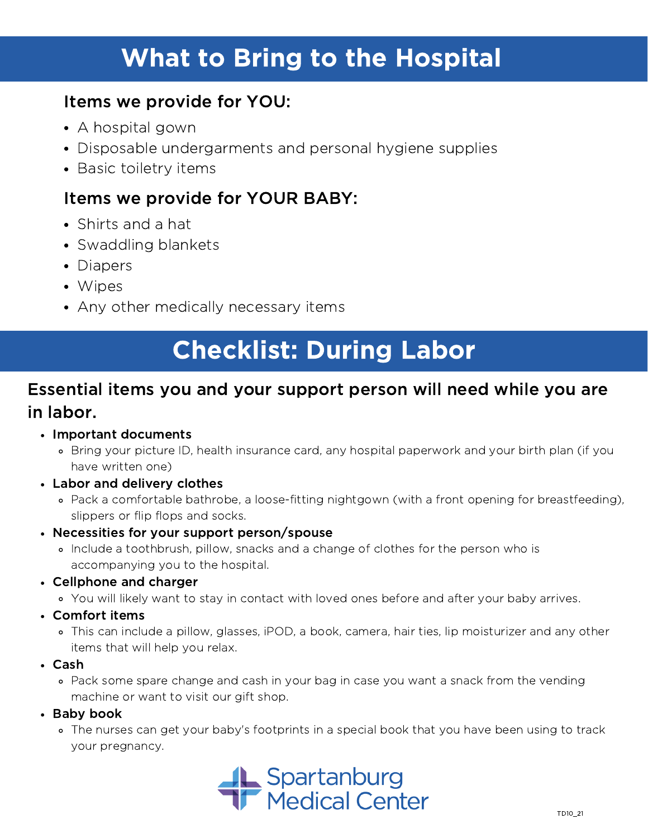## What to Bring to the Hospital

### Items we provide for YOU:

- A hospital gown
- Disposable undergarments and personal hygiene supplies
- Basic toiletry items

## Items we provide for YOUR BABY:

- Shirts and a hat
- Swaddling blankets
- Diapers
- Wipes
- Any other medically necessary items

## Checklist: During Labor

### Essential items you and your support person will need while you are in labor.

#### Important documents

- Bring your picture ID, health insurance card, any hospital paperwork and your birth plan (if you have written one)
- Labor and delivery clothes
	- Pack a comfortable bathrobe, a loose-fitting nightgown (with a front opening for breastfeeding), slippers or flip flops and socks.
- Necessities for your support person/spouse
	- Include a toothbrush, pillow, snacks and a change of clothes for the person who is accompanying you to the hospital.
- Cellphone and charger
	- You will likely want to stay in contact with loved ones before and after your baby arrives.
- Comfort items
	- This can include a pillow, glasses, iPOD, a book, camera, hair ties, lip moisturizer and any other items that will help you relax.
- Cash
	- Pack some spare change and cash in your bag in case you want a snack from the vending machine or want to visit our gift shop.

#### $\cdot$  Baby book

The nurses can get your baby's footprints in a special book that you have been using to track your pregnancy.